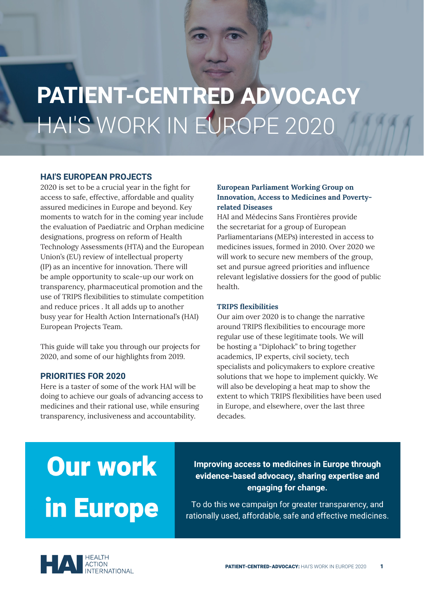# **PATIENT-CENTRED ADVOCACY** HAI'S WORK IN EUROPE 2020

# **HAI'S EUROPEAN PROJECTS**

2020 is set to be a crucial year in the fight for access to safe, effective, affordable and quality assured medicines in Europe and beyond. Key moments to watch for in the coming year include the evaluation of Paediatric and Orphan medicine designations, progress on reform of Health Technology Assessments (HTA) and the European Union's (EU) review of intellectual property (IP) as an incentive for innovation. There will be ample opportunity to scale-up our work on transparency, pharmaceutical promotion and the use of TRIPS flexibilities to stimulate competition and reduce prices . It all adds up to another busy year for Health Action International's (HAI) European Projects Team.

This guide will take you through our projects for 2020, and some of our highlights from 2019.

## **PRIORITIES FOR 2020**

Here is a taster of some of the work HAI will be doing to achieve our goals of advancing access to medicines and their rational use, while ensuring transparency, inclusiveness and accountability.

# **European Parliament Working Group on Innovation, Access to Medicines and Povertyrelated Diseases**

HAI and Médecins Sans Frontières provide the secretariat for a group of European Parliamentarians (MEPs) interested in access to medicines issues, formed in 2010. Over 2020 we will work to secure new members of the group, set and pursue agreed priorities and influence relevant legislative dossiers for the good of public health.

#### **TRIPS flexibilities**

Our aim over 2020 is to change the narrative around TRIPS flexibilities to encourage more regular use of these legitimate tools. We will be hosting a "Diplohack" to bring together academics, IP experts, civil society, tech specialists and policymakers to explore creative solutions that we hope to implement quickly. We will also be developing a heat map to show the extent to which TRIPS flexibilities have been used in Europe, and elsewhere, over the last three decades.

# **Our work** in Europe

Improving access to medicines in Europe through evidence-based advocacy, sharing expertise and engaging for change.

To do this we campaign for greater transparency, and rationally used, affordable, safe and effective medicines.

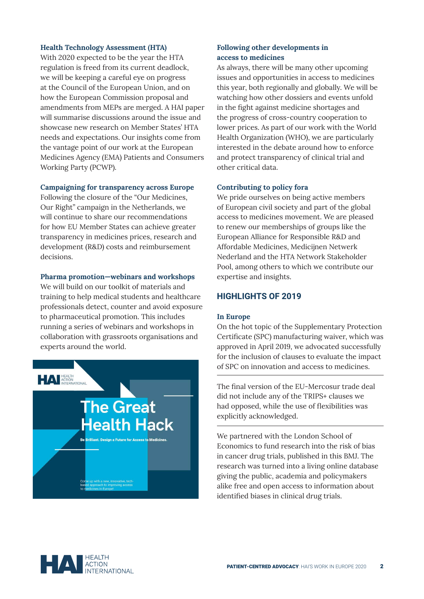#### **Health Technology Assessment (HTA)**

With 2020 expected to be the year the HTA regulation is freed from its current deadlock, we will be keeping a careful eye on progress at the Council of the European Union, and on how the European Commission proposal and amendments from MEPs are merged. A HAI paper will summarise discussions around the issue and showcase new research on Member States' HTA needs and expectations. Our insights come from the vantage point of our work at the European Medicines Agency (EMA) Patients and Consumers Working Party (PCWP).

#### **Campaigning for transparency across Europe**

Following the closure of the "Our Medicines, Our Right" campaign in the Netherlands, we will continue to share our recommendations for how EU Member States can achieve greater transparency in medicines prices, research and development (R&D) costs and reimbursement decisions.

#### **Pharma promotion—webinars and workshops**

We will build on our toolkit of materials and training to help medical students and healthcare professionals detect, counter and avoid exposure to pharmaceutical promotion. This includes running a series of webinars and workshops in collaboration with grassroots organisations and experts around the world.



### **Following other developments in access to medicines**

As always, there will be many other upcoming issues and opportunities in access to medicines this year, both regionally and globally. We will be watching how other dossiers and events unfold in the fight against medicine shortages and the progress of cross-country cooperation to lower prices. As part of our work with the World Health Organization (WHO), we are particularly interested in the debate around how to enforce and protect transparency of clinical trial and other critical data.

#### **Contributing to policy fora**

We pride ourselves on being active members of European civil society and part of the global access to medicines movement. We are pleased to renew our memberships of groups like the European Alliance for Responsible R&D and Affordable Medicines, Medicijnen Netwerk Nederland and the HTA Network Stakeholder Pool, among others to which we contribute our expertise and insights.

# **HIGHLIGHTS OF 2019**

#### **In Europe**

On the hot topic of the Supplementary Protection Certificate (SPC) manufacturing waiver, which was approved in April 2019, we advocated successfully for the inclusion of clauses to evaluate the impact of SPC on innovation and access to medicines.

The final version of the EU-Mercosur trade deal did not include any of the TRIPS+ clauses we had opposed, while the use of flexibilities was explicitly acknowledged.

We partnered with the London School of Economics to fund research into the risk of bias in cancer drug trials, published in this BMJ. The research was turned into a living online database giving the public, academia and policymakers alike free and open access to information about identified biases in clinical drug trials.